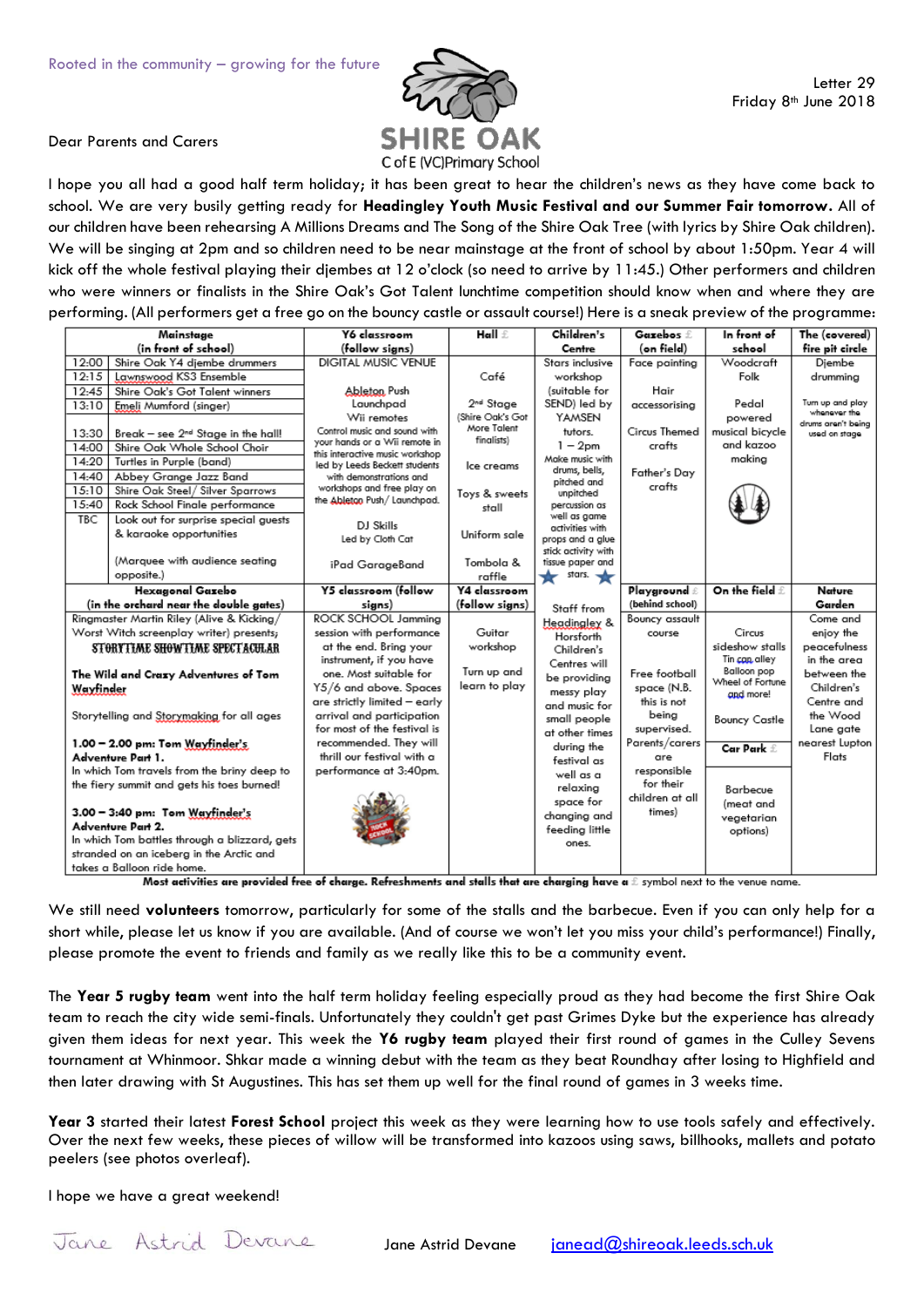

## Dear Parents and Carers

I hope you all had a good half term holiday; it has been great to hear the children's news as they have come back to school. We are very busily getting ready for **Headingley Youth Music Festival and our Summer Fair tomorrow.** All of our children have been rehearsing A Millions Dreams and The Song of the Shire Oak Tree (with lyrics by Shire Oak children). We will be singing at 2pm and so children need to be near mainstage at the front of school by about 1:50pm. Year 4 will kick off the whole festival playing their djembes at 12 o'clock (so need to arrive by 11:45.) Other performers and children who were winners or finalists in the Shire Oak's Got Talent lunchtime competition should know when and where they are performing. (All performers get a free go on the bouncy castle or assault course!) Here is a sneak preview of the programme:

| Mainstage                                                                                                                                                                                                                           |                                                                                                                                                                                                                                                                                                                                                                                                                                                                                                                                | Y6 classroom                                                                                                                                                                                                                                                                                                                                                                                                                                         | Hall &                                                                                                                                                                                                        | Children's                                                                                                                                                                                                                                                                                                                       | Gazebos f.                                                                                                            | In front of                                                                                                                | The (covered)                                                                                                                                        |
|-------------------------------------------------------------------------------------------------------------------------------------------------------------------------------------------------------------------------------------|--------------------------------------------------------------------------------------------------------------------------------------------------------------------------------------------------------------------------------------------------------------------------------------------------------------------------------------------------------------------------------------------------------------------------------------------------------------------------------------------------------------------------------|------------------------------------------------------------------------------------------------------------------------------------------------------------------------------------------------------------------------------------------------------------------------------------------------------------------------------------------------------------------------------------------------------------------------------------------------------|---------------------------------------------------------------------------------------------------------------------------------------------------------------------------------------------------------------|----------------------------------------------------------------------------------------------------------------------------------------------------------------------------------------------------------------------------------------------------------------------------------------------------------------------------------|-----------------------------------------------------------------------------------------------------------------------|----------------------------------------------------------------------------------------------------------------------------|------------------------------------------------------------------------------------------------------------------------------------------------------|
|                                                                                                                                                                                                                                     | (in front of school)                                                                                                                                                                                                                                                                                                                                                                                                                                                                                                           | (follow signs)                                                                                                                                                                                                                                                                                                                                                                                                                                       |                                                                                                                                                                                                               | Centre                                                                                                                                                                                                                                                                                                                           | (on field)                                                                                                            | school                                                                                                                     | fire pit circle                                                                                                                                      |
| 12:00                                                                                                                                                                                                                               | Shire Oak Y4 diembe drummers                                                                                                                                                                                                                                                                                                                                                                                                                                                                                                   | DIGITAL MUSIC VENUE                                                                                                                                                                                                                                                                                                                                                                                                                                  |                                                                                                                                                                                                               | Stars inclusive                                                                                                                                                                                                                                                                                                                  | Face painting                                                                                                         | Woodcraft                                                                                                                  | Diembe                                                                                                                                               |
| 12:15                                                                                                                                                                                                                               | Lawnswood KS3 Ensemble                                                                                                                                                                                                                                                                                                                                                                                                                                                                                                         |                                                                                                                                                                                                                                                                                                                                                                                                                                                      | Café                                                                                                                                                                                                          | workshop                                                                                                                                                                                                                                                                                                                         |                                                                                                                       | Folk                                                                                                                       | drumming                                                                                                                                             |
| 12:45                                                                                                                                                                                                                               | Shire Oak's Got Talent winners                                                                                                                                                                                                                                                                                                                                                                                                                                                                                                 | Ableton Push                                                                                                                                                                                                                                                                                                                                                                                                                                         |                                                                                                                                                                                                               | (suitable for                                                                                                                                                                                                                                                                                                                    | Hair                                                                                                                  |                                                                                                                            |                                                                                                                                                      |
| 13:10                                                                                                                                                                                                                               | Emeli Mumford (singer)                                                                                                                                                                                                                                                                                                                                                                                                                                                                                                         |                                                                                                                                                                                                                                                                                                                                                                                                                                                      |                                                                                                                                                                                                               |                                                                                                                                                                                                                                                                                                                                  | accessorising                                                                                                         |                                                                                                                            |                                                                                                                                                      |
| 13:30<br>14:00<br>14:20<br>14:40<br>15:10<br>15:40<br><b>TBC</b>                                                                                                                                                                    | Break - see 2 <sup>nd</sup> Stage in the hall!<br>Shire Oak Whole School Choir<br>Turtles in Purple (band)<br>Abbey Grange Jazz Band<br>Shire Oak Steel / Silver Sparrows<br>Rock School Finale performance<br>Look out for surprise special guests<br>& karaoke opportunities<br>(Marquee with audience seating<br>opposite.)<br><b>Hexagonal Gazebo</b><br>(in the orchard near the double gates)<br>Ringmaster Martin Riley (Alive & Kicking/<br>Worst Witch screenplay writer) presents;<br>STORYTIME SHOWTIME SPECTACULAR | Launchpad<br>Wii remotes<br>Control music and sound with<br>your hands or a Wii remote in<br>this interactive music workshop<br>led by Leeds Beckett students<br>with demonstrations and<br>workshops and free play on<br>the Ableton Push/ Launchpad.<br>DJ Skills<br>Led by Cloth Cat<br>iPad GarageBand<br>Y5 classroom (follow<br>signs)<br>ROCK SCHOOL Jammina<br>session with performance<br>at the end. Bring your<br>instrument, if you have | 2 <sup>nd</sup> Stage<br>(Shire Oak's Got<br>More Talent<br>finalists)<br>Ice creams<br>Toys & sweets<br>stall<br>Uniform sale<br>Tombola &<br>raffle<br>Y4 classroom<br>(follow signs)<br>Guitar<br>workshop | SEND) led by<br>YAMSEN<br>tutors.<br>$1 - 2$ pm<br>Make music with<br>drums, bells,<br>pitched and<br>unpitched<br>percussion as<br>well as game<br>activities with<br>props and a glue<br>stick activity with<br>tissue paper and<br>stars. $\bigstar$<br>Staff from<br>Headingley &<br>Horsforth<br>Children's<br>Centres will | Circus Themed<br>crafts<br>Father's Day<br>crafts<br>Playground ∄<br>(behind school)<br>Bouncy assault<br>course      | Pedal<br>powered<br>musical bicycle<br>and kazoo<br>making<br>On the field f<br>Circus<br>sideshow stalls<br>Tin can alley | Turn up and play<br>whenever the<br>drums aren't being<br>used on stage.<br>Nature<br>Garden<br>Come and<br>enjoy the<br>peacefulness<br>in the area |
| The Wild and Crazy Adventures of Tom                                                                                                                                                                                                |                                                                                                                                                                                                                                                                                                                                                                                                                                                                                                                                | one. Most suitable for                                                                                                                                                                                                                                                                                                                                                                                                                               | Turn up and                                                                                                                                                                                                   | be providing                                                                                                                                                                                                                                                                                                                     | Free football                                                                                                         | Balloon pop<br>Wheel of Fortune                                                                                            | between the                                                                                                                                          |
| Wayfinder                                                                                                                                                                                                                           |                                                                                                                                                                                                                                                                                                                                                                                                                                                                                                                                | Y5/6 and above. Spaces                                                                                                                                                                                                                                                                                                                                                                                                                               | learn to play                                                                                                                                                                                                 | messy play                                                                                                                                                                                                                                                                                                                       | space (N.B.                                                                                                           | and more!                                                                                                                  | Children's                                                                                                                                           |
| Storytelling and Storymaking for all ages<br>$1.00 - 2.00$ pm: Tom Wayfinder's<br>Adventure Part 1.<br>In which Tom travels from the briny deep to<br>the fiery summit and gets his toes burned!<br>3.00 - 3:40 pm: Tom Wayfinder's |                                                                                                                                                                                                                                                                                                                                                                                                                                                                                                                                | are strictly limited - early<br>arrival and participation<br>for most of the festival is<br>recommended. They will<br>thrill our festival with a<br>performance at 3:40pm.                                                                                                                                                                                                                                                                           |                                                                                                                                                                                                               | and music for<br>small people<br>at other times<br>during the<br>festival as<br>well as a<br>relaxing<br>space for<br>changing and                                                                                                                                                                                               | this is not<br>beina<br>supervised.<br>Parents/carers<br>are<br>responsible<br>for their<br>children at all<br>times) | Bouncy Castle<br>Car Park £<br>Barbecue<br>(meat and<br>vegetarian                                                         | Centre and<br>the Wood<br>Lane gate<br>nearest Lupton<br>Flats                                                                                       |
| Adventure Part 2.                                                                                                                                                                                                                   |                                                                                                                                                                                                                                                                                                                                                                                                                                                                                                                                |                                                                                                                                                                                                                                                                                                                                                                                                                                                      |                                                                                                                                                                                                               | feeding little                                                                                                                                                                                                                                                                                                                   |                                                                                                                       | options)                                                                                                                   |                                                                                                                                                      |
| In which Tom battles through a blizzard, gets                                                                                                                                                                                       |                                                                                                                                                                                                                                                                                                                                                                                                                                                                                                                                |                                                                                                                                                                                                                                                                                                                                                                                                                                                      |                                                                                                                                                                                                               | ones.                                                                                                                                                                                                                                                                                                                            |                                                                                                                       |                                                                                                                            |                                                                                                                                                      |
| stranded on an iceberg in the Arctic and                                                                                                                                                                                            |                                                                                                                                                                                                                                                                                                                                                                                                                                                                                                                                |                                                                                                                                                                                                                                                                                                                                                                                                                                                      |                                                                                                                                                                                                               |                                                                                                                                                                                                                                                                                                                                  |                                                                                                                       |                                                                                                                            |                                                                                                                                                      |
| takes a Balloon ride home.                                                                                                                                                                                                          |                                                                                                                                                                                                                                                                                                                                                                                                                                                                                                                                |                                                                                                                                                                                                                                                                                                                                                                                                                                                      |                                                                                                                                                                                                               |                                                                                                                                                                                                                                                                                                                                  |                                                                                                                       |                                                                                                                            |                                                                                                                                                      |

Most activities are provided free of charge. Refreshments and stalls that are charging have a  $\pounds$  symbol next to the venue name.

We still need **volunteers** tomorrow, particularly for some of the stalls and the barbecue. Even if you can only help for a short while, please let us know if you are available. (And of course we won't let you miss your child's performance!) Finally, please promote the event to friends and family as we really like this to be a community event.

The **Year 5 rugby team** went into the half term holiday feeling especially proud as they had become the first Shire Oak team to reach the city wide semi-finals. Unfortunately they couldn't get past Grimes Dyke but the experience has already given them ideas for next year. This week the **Y6 rugby team** played their first round of games in the Culley Sevens tournament at Whinmoor. Shkar made a winning debut with the team as they beat Roundhay after losing to Highfield and then later drawing with St Augustines. This has set them up well for the final round of games in 3 weeks time.

**Year 3** started their latest **Forest School** project this week as they were learning how to use tools safely and effectively. Over the next few weeks, these pieces of willow will be transformed into kazoos using saws, billhooks, mallets and potato peelers (see photos overleaf).

I hope we have a great weekend!

Jane Astrid Devane